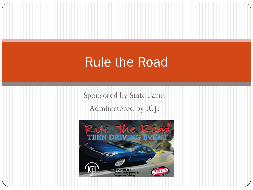#### Rule the Road

Sponsored by State Farm Administered by ICJI

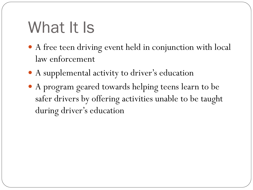# What It Is

- A free teen driving event held in conjunction with local law enforcement
- A supplemental activity to driver's education
- A program geared towards helping teens learn to be safer drivers by offering activities unable to be taught during driver's education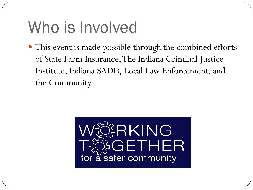### Who is Involved

• This event is made possible through the combined efforts of State Farm Insurance, The Indiana Criminal Justice Institute, Indiana SADD, Local Law Enforcement, and the Community

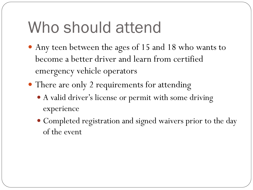# Who should attend

- Any teen between the ages of 15 and 18 who wants to become a better driver and learn from certified emergency vehicle operators
- There are only 2 requirements for attending
	- A valid driver's license or permit with some driving experience
	- Completed registration and signed waivers prior to the day of the event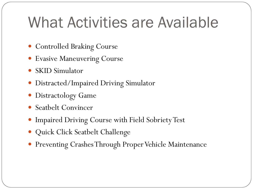#### What Activities are Available

- Controlled Braking Course
- Evasive Maneuvering Course
- SKID Simulator
- Distracted/Impaired Driving Simulator
- Distractology Game
- Seatbelt Convincer
- Impaired Driving Course with Field Sobriety Test
- Quick Click Seatbelt Challenge
- Preventing Crashes Through Proper Vehicle Maintenance